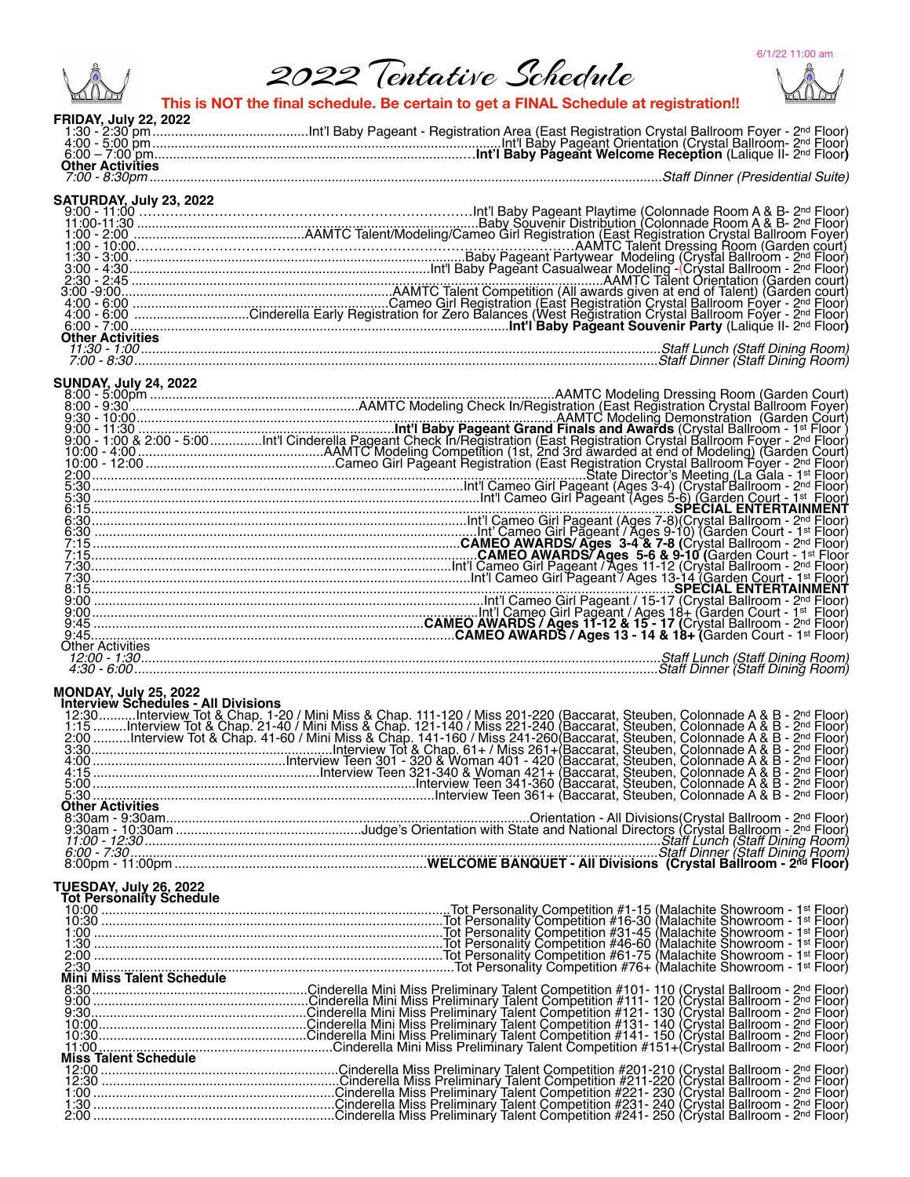6/1/22 11:00 am